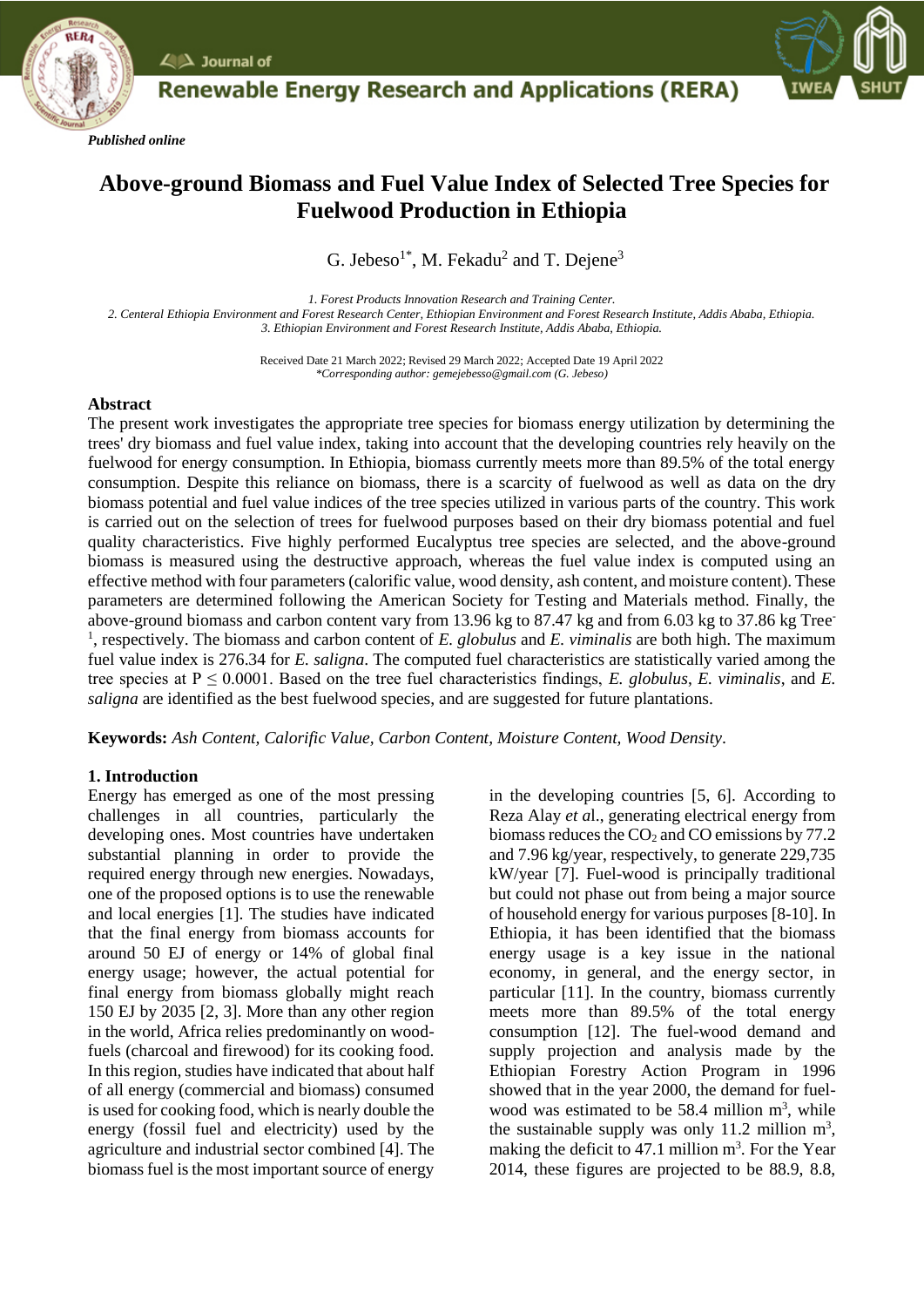

*Published online*



# **Above-ground Biomass and Fuel Value Index of Selected Tree Species for Fuelwood Production in Ethiopia**

G. Jebeso<sup>1\*</sup>, M. Fekadu<sup>2</sup> and T. Dejene<sup>3</sup>

*1. Forest Products Innovation Research and Training Center. 2. Centeral Ethiopia Environment and Forest Research Center, Ethiopian Environment and Forest Research Institute, Addis Ababa, Ethiopia. 3. Ethiopian Environment and Forest Research Institute, Addis Ababa, Ethiopia.*

> Received Date 21 March 2022; Revised 29 March 2022; Accepted Date 19 April 2022 *\*Corresponding author: gemejebesso@gmail.com (G. Jebeso)*

## **Abstract**

The present work investigates the appropriate tree species for biomass energy utilization by determining the trees' dry biomass and fuel value index, taking into account that the developing countries rely heavily on the fuelwood for energy consumption. In Ethiopia, biomass currently meets more than 89.5% of the total energy consumption. Despite this reliance on biomass, there is a scarcity of fuelwood as well as data on the dry biomass potential and fuel value indices of the tree species utilized in various parts of the country. This work is carried out on the selection of trees for fuelwood purposes based on their dry biomass potential and fuel quality characteristics. Five highly performed Eucalyptus tree species are selected, and the above-ground biomass is measured using the destructive approach, whereas the fuel value index is computed using an effective method with four parameters (calorific value, wood density, ash content, and moisture content). These parameters are determined following the American Society for Testing and Materials method. Finally, the above-ground biomass and carbon content vary from 13.96 kg to 87.47 kg and from 6.03 kg to 37.86 kg Tree - <sup>1</sup>, respectively. The biomass and carbon content of *E. globulus* and *E. viminalis* are both high. The maximum fuel value index is 276.34 for *E. saligna*. The computed fuel characteristics are statistically varied among the tree species at  $P \le 0.0001$ . Based on the tree fuel characteristics findings, *E. globulus*, *E. viminalis*, and *E. saligna* are identified as the best fuelwood species, and are suggested for future plantations.

**Keywords:** *Ash Content, Calorific Value, Carbon Content, Moisture Content, Wood Density.*

# **1. Introduction**

Energy has emerged as one of the most pressing challenges in all countries, particularly the developing ones. Most countries have undertaken substantial planning in order to provide the required energy through new energies. Nowadays, one of the proposed options is to use the renewable and local energies [1]. The studies have indicated that the final energy from biomass accounts for around 50 EJ of energy or 14% of global final energy usage; however, the actual potential for final energy from biomass globally might reach 150 EJ by 2035 [2, 3]. More than any other region in the world, Africa relies predominantly on woodfuels (charcoal and firewood) for its cooking food. In this region, studies have indicated that about half of all energy (commercial and biomass) consumed is used for cooking food, which is nearly double the energy (fossil fuel and electricity) used by the agriculture and industrial sector combined [4]. The biomass fuel is the most important source of energy

in the developing countries [5, 6]. According to Reza Alay *et a*l., generating electrical energy from biomass reduces the  $CO<sub>2</sub>$  and CO emissions by 77.2 and 7.96 kg/year, respectively, to generate 229,735 kW/year [7]. Fuel-wood is principally traditional but could not phase out from being a major source of household energy for various purposes [8-10]. In Ethiopia, it has been identified that the biomass energy usage is a key issue in the national economy, in general, and the energy sector, in particular [11]. In the country, biomass currently meets more than 89.5% of the total energy consumption [12]. The fuel-wood demand and supply projection and analysis made by the Ethiopian Forestry Action Program in 1996 showed that in the year 2000, the demand for fuelwood was estimated to be  $58.4$  million  $m<sup>3</sup>$ , while the sustainable supply was only 11.2 million  $m^3$ , making the deficit to  $47.1$  million m<sup>3</sup>. For the Year 2014, these figures are projected to be 88.9, 8.8,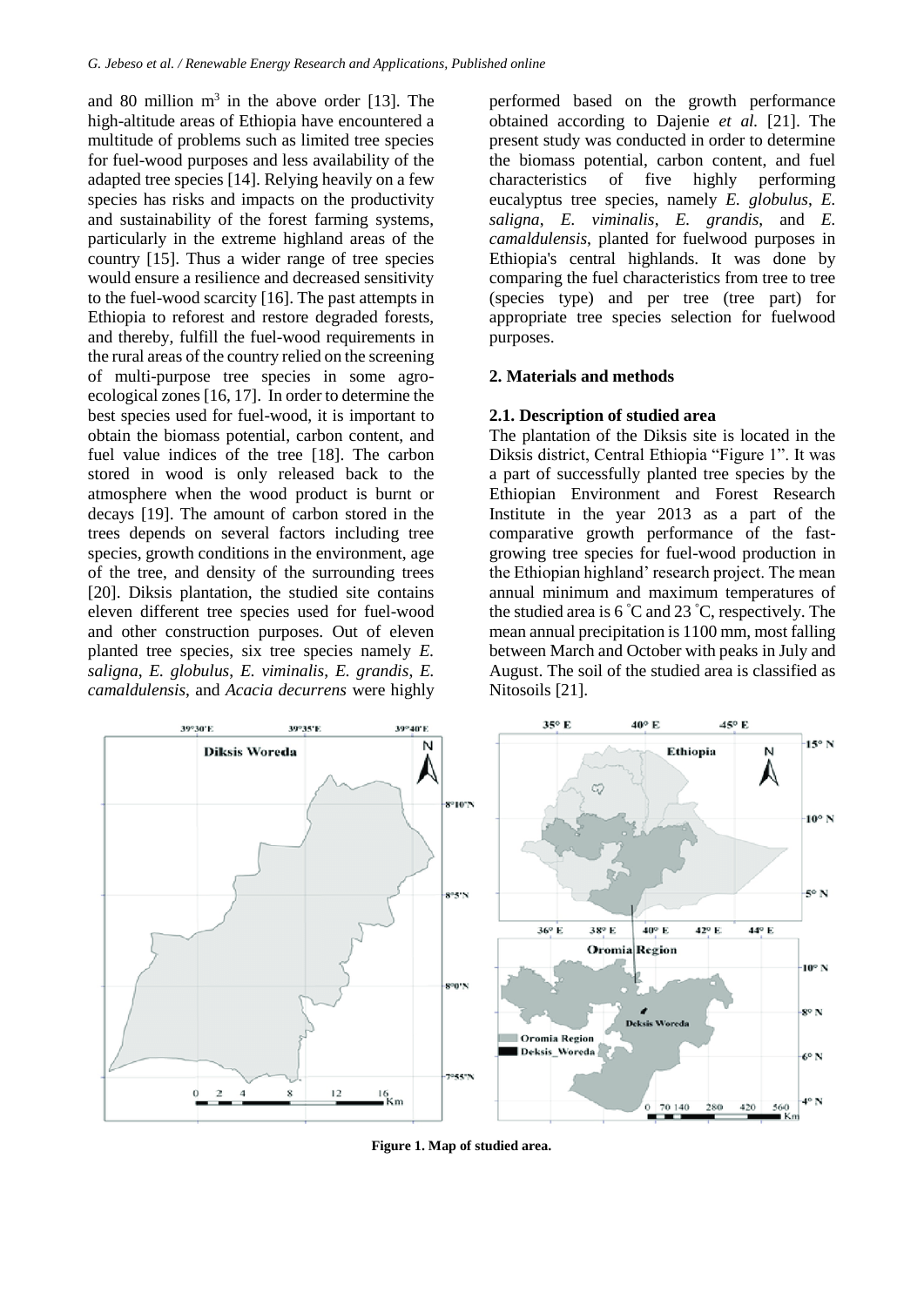and 80 million  $m<sup>3</sup>$  in the above order [13]. The high-altitude areas of Ethiopia have encountered a multitude of problems such as limited tree species for fuel-wood purposes and less availability of the adapted tree species [14]. Relying heavily on a few species has risks and impacts on the productivity and sustainability of the forest farming systems, particularly in the extreme highland areas of the country [15]. Thus a wider range of tree species would ensure a resilience and decreased sensitivity to the fuel-wood scarcity [16]. The past attempts in Ethiopia to reforest and restore degraded forests, and thereby, fulfill the fuel-wood requirements in the rural areas of the country relied on the screening of multi-purpose tree species in some agroecological zones [16, 17]. In order to determine the best species used for fuel-wood, it is important to obtain the biomass potential, carbon content, and fuel value indices of the tree [18]. The carbon stored in wood is only released back to the atmosphere when the wood product is burnt or decays [19]. The amount of carbon stored in the trees depends on several factors including tree species, growth conditions in the environment, age of the tree, and density of the surrounding trees [20]. Diksis plantation, the studied site contains eleven different tree species used for fuel-wood and other construction purposes. Out of eleven planted tree species, six tree species namely *E. saligna*, *E. globulus*, *E. viminalis*, *E. grandis*, *E. camaldulensis*, and *Acacia decurrens* were highly

performed based on the growth performance obtained according to Dajenie *et al.* [21]. The present study was conducted in order to determine the biomass potential, carbon content, and fuel characteristics of five highly performing eucalyptus tree species, namely *E. globulus*, *E. saligna*, *E. viminalis*, *E. grandis*, and *E. camaldulensis*, planted for fuelwood purposes in Ethiopia's central highlands. It was done by comparing the fuel characteristics from tree to tree (species type) and per tree (tree part) for appropriate tree species selection for fuelwood purposes.

#### **2. Materials and methods**

## **2.1. Description of studied area**

The plantation of the Diksis site is located in the Diksis district, Central Ethiopia "Figure 1". It was a part of successfully planted tree species by the Ethiopian Environment and Forest Research Institute in the year 2013 as a part of the comparative growth performance of the fastgrowing tree species for fuel-wood production in the Ethiopian highland' research project. The mean annual minimum and maximum temperatures of the studied area is  $6^{\degree}$ C and  $23^{\degree}$ C, respectively. The mean annual precipitation is 1100 mm, most falling between March and October with peaks in July and August. The soil of the studied area is classified as Nitosoils [21].



**Figure 1. Map of studied area.**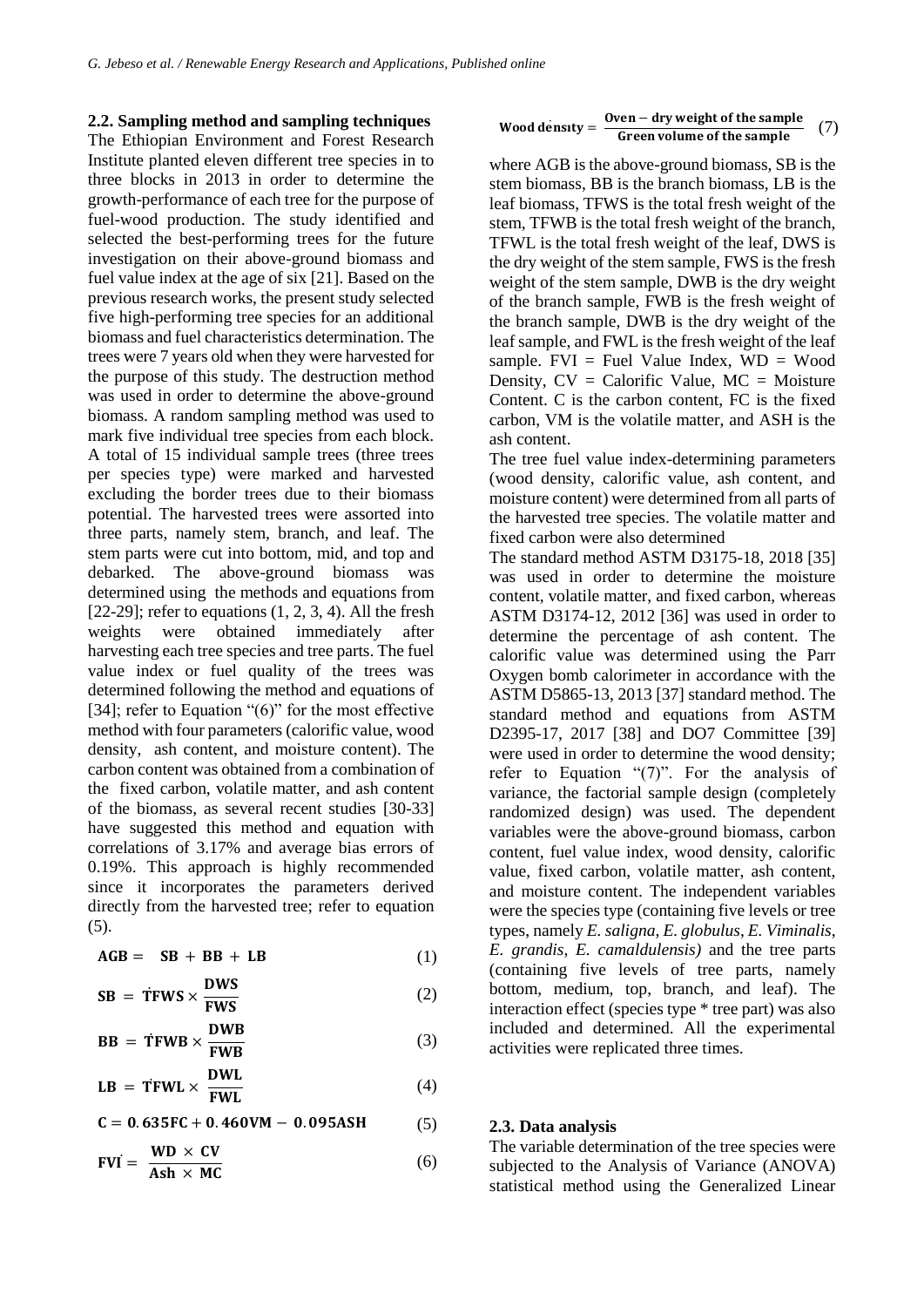#### **2.2. Sampling method and sampling techniques**

The Ethiopian Environment and Forest Research Institute planted eleven different tree species in to three blocks in 2013 in order to determine the growth-performance of each tree for the purpose of fuel-wood production. The study identified and selected the best-performing trees for the future investigation on their above-ground biomass and fuel value index at the age of six [21]. Based on the previous research works, the present study selected five high-performing tree species for an additional biomass and fuel characteristics determination. The trees were 7 years old when they were harvested for the purpose of this study. The destruction method was used in order to determine the above-ground biomass. A random sampling method was used to mark five individual tree species from each block. A total of 15 individual sample trees (three trees per species type) were marked and harvested excluding the border trees due to their biomass potential. The harvested trees were assorted into three parts, namely stem, branch, and leaf. The stem parts were cut into bottom, mid, and top and debarked. The above-ground biomass was determined using the methods and equations from [22-29]; refer to equations  $(1, 2, 3, 4)$ . All the fresh weights were obtained immediately after harvesting each tree species and tree parts. The fuel value index or fuel quality of the trees was determined following the method and equations of [34]; refer to Equation "(6)" for the most effective method with four parameters (calorific value, wood density, ash content, and moisture content). The carbon content was obtained from a combination of the fixed carbon, volatile matter, and ash content of the biomass, as several recent studies [30-33] have suggested this method and equation with correlations of 3.17% and average bias errors of 0.19%. This approach is highly recommended since it incorporates the parameters derived directly from the harvested tree; refer to equation  $(5)$ .

$$
AGB = SB + BB + LB \tag{1}
$$

$$
SB = \dot{T}FWS \times \frac{DWS}{FWS}
$$
 (2)

$$
BB = \dot{T}FWB \times \frac{DWB}{FWB} \tag{3}
$$

$$
LB = TFWL \times \frac{DWL}{FWL}
$$
 (4)

$$
C = 0.635FC + 0.460VM - 0.095ASH
$$
 (5)

$$
FVI = \frac{WD \times CV}{Ash \times MC}
$$
 (6)

Wood density = 
$$
\frac{0 \text{ven} - \text{dry weight of the sample}}{\text{Green volume of the sample}}
$$
 (7)

where AGB is the above-ground biomass, SB is the stem biomass, BB is the branch biomass, LB is the leaf biomass, TFWS is the total fresh weight of the stem, TFWB is the total fresh weight of the branch, TFWL is the total fresh weight of the leaf, DWS is the dry weight of the stem sample, FWS is the fresh weight of the stem sample, DWB is the dry weight of the branch sample, FWB is the fresh weight of the branch sample, DWB is the dry weight of the leaf sample, and FWL is the fresh weight of the leaf sample.  $FVI = Fuel Value Index, WD = Wood$ Density,  $CV = Calorific Value$ ,  $MC = Moisture$ Content. C is the carbon content, FC is the fixed carbon, VM is the volatile matter, and ASH is the ash content.

The tree fuel value index-determining parameters (wood density, calorific value, ash content, and moisture content) were determined from all parts of the harvested tree species. The volatile matter and fixed carbon were also determined

The standard method ASTM D3175-18, 2018 [35] was used in order to determine the moisture content, volatile matter, and fixed carbon, whereas ASTM D3174-12, 2012 [36] was used in order to determine the percentage of ash content. The calorific value was determined using the Parr Oxygen bomb calorimeter in accordance with the ASTM D5865-13, 2013 [37] standard method. The standard method and equations from ASTM D2395-17, 2017 [38] and DO7 Committee [39] were used in order to determine the wood density; refer to Equation "(7)". For the analysis of variance, the factorial sample design (completely randomized design) was used. The dependent variables were the above-ground biomass, carbon content, fuel value index, wood density, calorific value, fixed carbon, volatile matter, ash content, and moisture content. The independent variables were the species type (containing five levels or tree types, namely *E. saligna*, *E. globulus*, *E. Viminalis*, *E. grandis*, *E. camaldulensis)* and the tree parts (containing five levels of tree parts, namely bottom, medium, top, branch, and leaf). The interaction effect (species type \* tree part) was also included and determined. All the experimental activities were replicated three times.

#### **2.3. Data analysis**

The variable determination of the tree species were subjected to the Analysis of Variance (ANOVA) statistical method using the Generalized Linear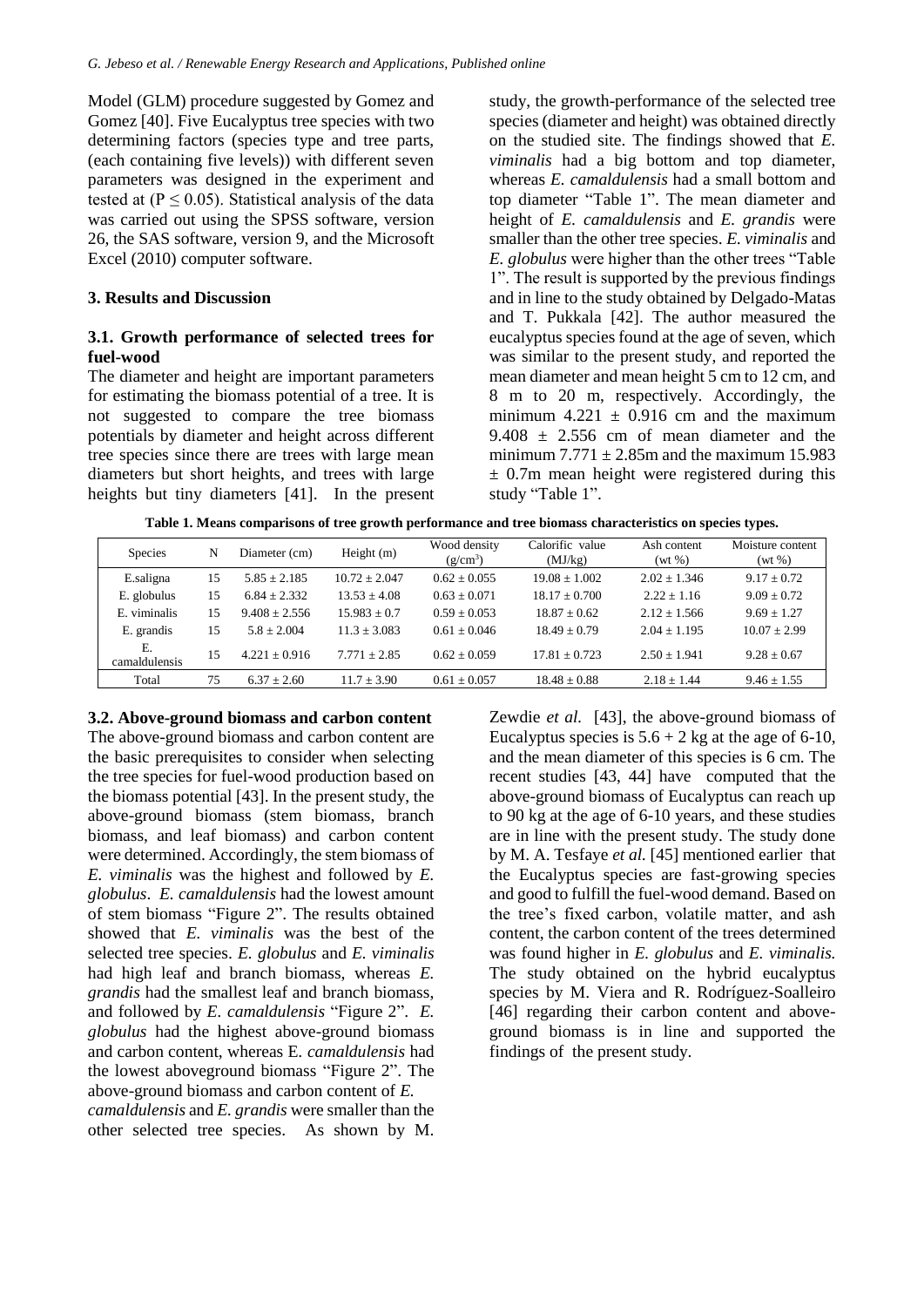Model (GLM) procedure suggested by Gomez and Gomez [40]. Five Eucalyptus tree species with two determining factors (species type and tree parts, (each containing five levels)) with different seven parameters was designed in the experiment and tested at  $(P \le 0.05)$ . Statistical analysis of the data was carried out using the SPSS software, version 26, the SAS software, version 9, and the Microsoft Excel (2010) computer software.

#### **3. Results and Discussion**

## **3.1. Growth performance of selected trees for fuel-wood**

The diameter and height are important parameters for estimating the biomass potential of a tree. It is not suggested to compare the tree biomass potentials by diameter and height across different tree species since there are trees with large mean diameters but short heights, and trees with large heights but tiny diameters [41]. In the present study, the growth-performance of the selected tree species (diameter and height) was obtained directly on the studied site. The findings showed that *E. viminalis* had a big bottom and top diameter, whereas *E. camaldulensis* had a small bottom and top diameter "Table 1". The mean diameter and height of *E. camaldulensis* and *E. grandis* were smaller than the other tree species. *E. viminalis* and *E. globulus* were higher than the other trees "Table 1". The result is supported by the previous findings and in line to the study obtained by Delgado-Matas and T. Pukkala [42]. The author measured the eucalyptus species found at the age of seven, which was similar to the present study, and reported the mean diameter and mean height 5 cm to 12 cm, and 8 m to 20 m, respectively. Accordingly, the minimum  $4.221 \pm 0.916$  cm and the maximum  $9.408 \pm 2.556$  cm of mean diameter and the minimum  $7.771 \pm 2.85$ m and the maximum 15.983  $\pm$  0.7m mean height were registered during this study "Table 1".

**Table 1. Means comparisons of tree growth performance and tree biomass characteristics on species types.**

| <b>Species</b>      | N  | Diameter (cm)   | Height $(m)$    | Wood density<br>$(g/cm^3)$ | Calorific value<br>(MJ/kg) | Ash content<br>$(wt \%)$ | Moisture content<br>$(wt \, \%)$ |  |
|---------------------|----|-----------------|-----------------|----------------------------|----------------------------|--------------------------|----------------------------------|--|
| E.saligna           | 15 | $5.85 + 2.185$  | $10.72 + 2.047$ | $0.62 + 0.055$             | $19.08 + 1.002$            | $2.02 + 1.346$           | $9.17 + 0.72$                    |  |
| E. globulus         | 15 | $6.84 + 2.332$  | $13.53 + 4.08$  | $0.63 + 0.071$             | $18.17 + 0.700$            | $2.22 + 1.16$            | $9.09 + 0.72$                    |  |
| E. viminalis        | 15 | $9.408 + 2.556$ | $15.983 + 0.7$  | $0.59 + 0.053$             | $18.87 + 0.62$             | $2.12 + 1.566$           | $9.69 + 1.27$                    |  |
| E. grandis          | 15 | $5.8 + 2.004$   | $11.3 + 3.083$  | $0.61 + 0.046$             | $18.49 + 0.79$             | $2.04 + 1.195$           | $10.07 + 2.99$                   |  |
| Ε.<br>camaldulensis | 15 | $4.221 + 0.916$ | $7.771 + 2.85$  | $0.62 + 0.059$             | $17.81 + 0.723$            | $2.50 + 1.941$           | $9.28 + 0.67$                    |  |
| Total               | 75 | $6.37 \pm 2.60$ | $11.7 + 3.90$   | $0.61 \pm 0.057$           | $18.48 \pm 0.88$           | $2.18 + 1.44$            | $9.46 \pm 1.55$                  |  |

## **3.2. Above-ground biomass and carbon content**

The above-ground biomass and carbon content are the basic prerequisites to consider when selecting the tree species for fuel-wood production based on the biomass potential [43]. In the present study, the above-ground biomass (stem biomass, branch biomass, and leaf biomass) and carbon content were determined. Accordingly, the stem biomass of *E. viminalis* was the highest and followed by *E. globulus*. *E. camaldulensis* had the lowest amount of stem biomass "Figure 2". The results obtained showed that *E. viminalis* was the best of the selected tree species. *E. globulus* and *E. viminalis*  had high leaf and branch biomass, whereas *E. grandis* had the smallest leaf and branch biomass, and followed by *E. camaldulensis* "Figure 2". *E. globulus* had the highest above-ground biomass and carbon content, whereas E*. camaldulensis* had the lowest aboveground biomass "Figure 2". The above-ground biomass and carbon content of *E. camaldulensis* and *E. grandis* were smaller than the other selected tree species. As shown by M.

Zewdie *et al.* [43], the above-ground biomass of Eucalyptus species is  $5.6 + 2$  kg at the age of 6-10, and the mean diameter of this species is 6 cm. The recent studies [43, 44] have computed that the above-ground biomass of Eucalyptus can reach up to 90 kg at the age of 6-10 years, and these studies are in line with the present study. The study done by M. A. Tesfaye *et al.* [45] mentioned earlier that the Eucalyptus species are fast-growing species and good to fulfill the fuel-wood demand. Based on the tree's fixed carbon, volatile matter, and ash content, the carbon content of the trees determined was found higher in *E. globulus* and *E. viminalis.*  The study obtained on the hybrid eucalyptus species by M. Viera and R. Rodríguez-Soalleiro [46] regarding their carbon content and aboveground biomass is in line and supported the findings of the present study.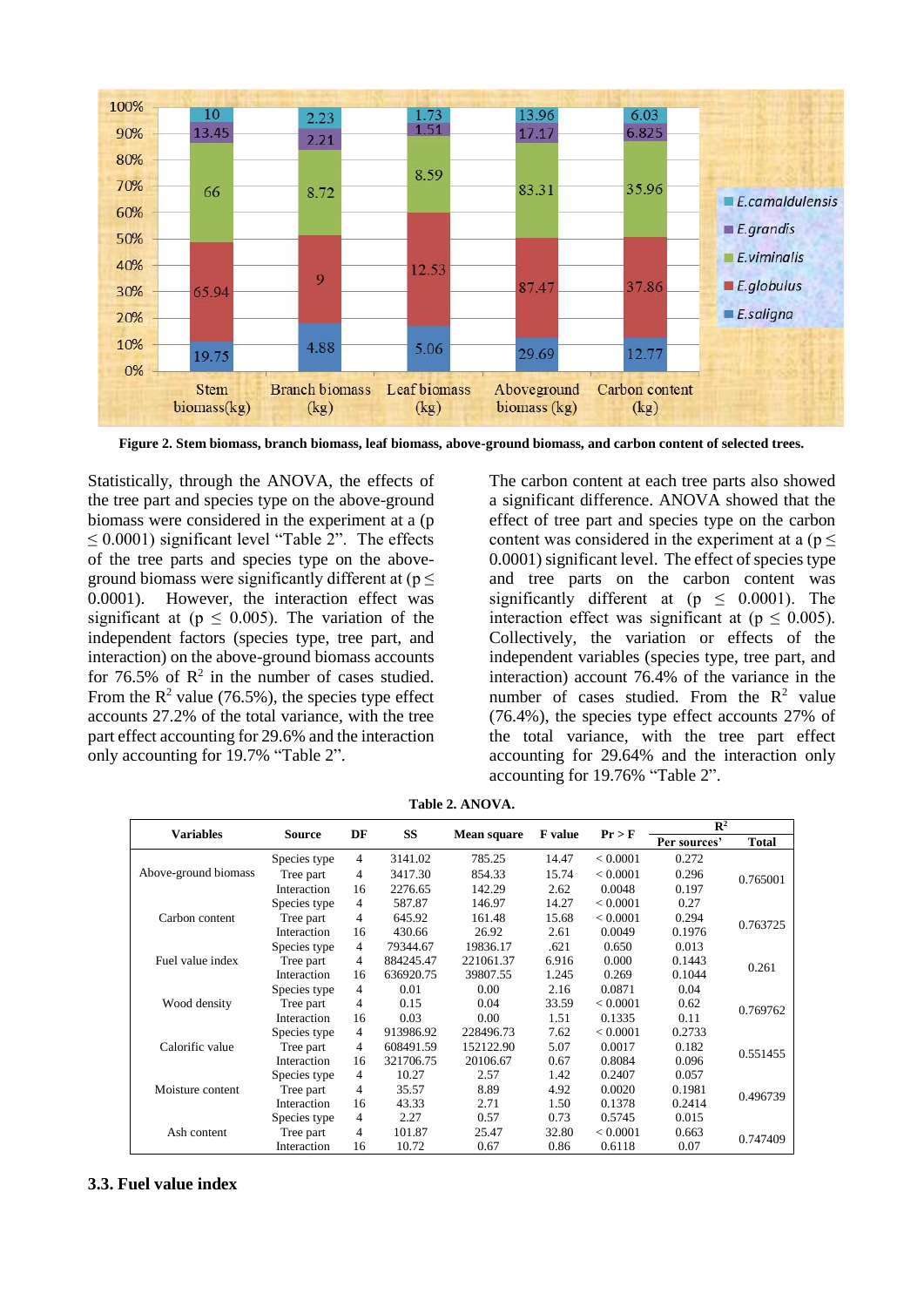

**Figure 2. Stem biomass, branch biomass, leaf biomass, above-ground biomass, and carbon content of selected trees.**

Statistically, through the ANOVA, the effects of the tree part and species type on the above-ground biomass were considered in the experiment at a (p  $\leq$  0.0001) significant level "Table 2". The effects of the tree parts and species type on the aboveground biomass were significantly different at  $(p \leq$ 0.0001). However, the interaction effect was significant at ( $p \leq 0.005$ ). The variation of the independent factors (species type, tree part, and interaction) on the above-ground biomass accounts for 76.5% of  $\mathbb{R}^2$  in the number of cases studied. From the  $R^2$  value (76.5%), the species type effect accounts 27.2% of the total variance, with the tree part effect accounting for 29.6% and the interaction only accounting for 19.7% "Table 2".

The carbon content at each tree parts also showed a significant difference. ANOVA showed that the effect of tree part and species type on the carbon content was considered in the experiment at a ( $p \leq$ 0.0001) significant level. The effect of species type and tree parts on the carbon content was significantly different at ( $p \leq 0.0001$ ). The interaction effect was significant at ( $p \leq 0.005$ ). Collectively, the variation or effects of the independent variables (species type, tree part, and interaction) account 76.4% of the variance in the number of cases studied. From the  $R^2$  value (76.4%), the species type effect accounts 27% of the total variance, with the tree part effect accounting for 29.64% and the interaction only accounting for 19.76% "Table 2".

|                      | <b>Source</b> | DF             | <b>SS</b> | <b>Mean square</b> | <b>F</b> value | Pr > F   | $\mathbb{R}^2$ |              |
|----------------------|---------------|----------------|-----------|--------------------|----------------|----------|----------------|--------------|
| <b>Variables</b>     |               |                |           |                    |                |          | Per sources'   | <b>Total</b> |
| Above-ground biomass | Species type  | $\overline{4}$ | 3141.02   | 785.25             | 14.47          | < 0.0001 | 0.272          | 0.765001     |
|                      | Tree part     | 4              | 3417.30   | 854.33             | 15.74          | < 0.0001 | 0.296          |              |
|                      | Interaction   | 16             | 2276.65   | 142.29             | 2.62           | 0.0048   | 0.197          |              |
|                      | Species type  | $\overline{4}$ | 587.87    | 146.97             | 14.27          | < 0.0001 | 0.27           |              |
| Carbon content       | Tree part     | $\overline{4}$ | 645.92    | 161.48             | 15.68          | < 0.0001 | 0.294          | 0.763725     |
|                      | Interaction   | 16             | 430.66    | 26.92              | 2.61           | 0.0049   | 0.1976         |              |
|                      | Species type  | $\overline{4}$ | 79344.67  | 19836.17           | .621           | 0.650    | 0.013          |              |
| Fuel value index     | Tree part     | 4              | 884245.47 | 221061.37          | 6.916          | 0.000    | 0.1443         |              |
|                      | Interaction   | 16             | 636920.75 | 39807.55           | 1.245          | 0.269    | 0.1044         | 0.261        |
|                      | Species type  | $\overline{4}$ | 0.01      | 0.00               | 2.16           | 0.0871   | 0.04           | 0.769762     |
| Wood density         | Tree part     | 4              | 0.15      | 0.04               | 33.59          | < 0.0001 | 0.62           |              |
|                      | Interaction   | 16             | 0.03      | 0.00               | 1.51           | 0.1335   | 0.11           |              |
|                      | Species type  | $\overline{4}$ | 913986.92 | 228496.73          | 7.62           | < 0.0001 | 0.2733         |              |
| Calorific value      | Tree part     | 4              | 608491.59 | 152122.90          | 5.07           | 0.0017   | 0.182          | 0.551455     |
|                      | Interaction   | 16             | 321706.75 | 20106.67           | 0.67           | 0.8084   | 0.096          |              |
|                      | Species type  | $\overline{4}$ | 10.27     | 2.57               | 1.42           | 0.2407   | 0.057          | 0.496739     |
| Moisture content     | Tree part     | 4              | 35.57     | 8.89               | 4.92           | 0.0020   | 0.1981         |              |
|                      | Interaction   | 16             | 43.33     | 2.71               | 1.50           | 0.1378   | 0.2414         |              |
|                      | Species type  | $\overline{4}$ | 2.27      | 0.57               | 0.73           | 0.5745   | 0.015          | 0.747409     |
| Ash content          | Tree part     | 4              | 101.87    | 25.47              | 32.80          | < 0.0001 | 0.663          |              |
|                      | Interaction   | 16             | 10.72     | 0.67               | 0.86           | 0.6118   | 0.07           |              |

**Table 2. ANOVA.**

## **3.3. Fuel value index**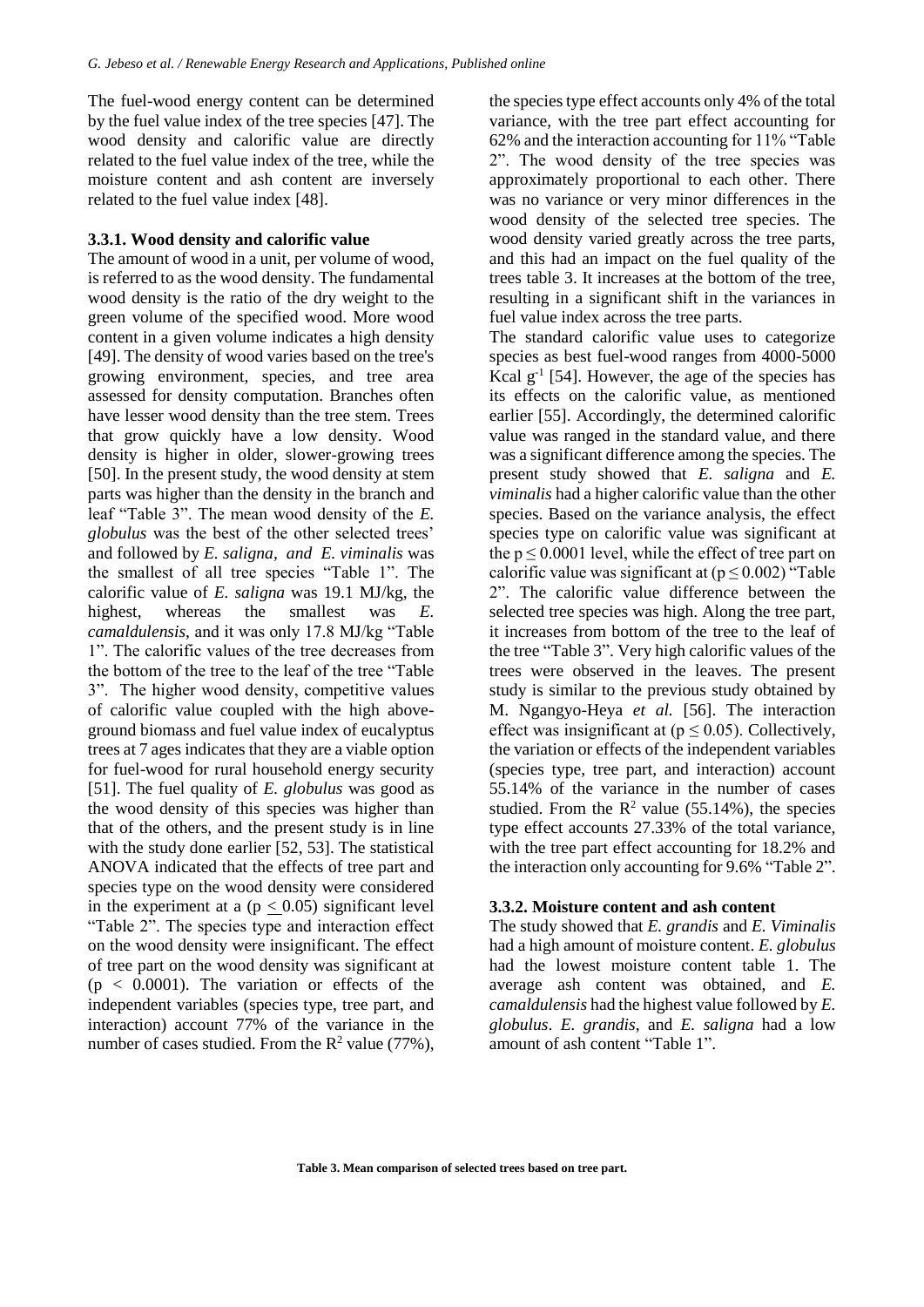The fuel-wood energy content can be determined by the fuel value index of the tree species [47]. The wood density and calorific value are directly related to the fuel value index of the tree, while the moisture content and ash content are inversely related to the fuel value index [48].

#### **3.3.1. Wood density and calorific value**

The amount of wood in a unit, per volume of wood, is referred to as the wood density. The fundamental wood density is the ratio of the dry weight to the green volume of the specified wood. More wood content in a given volume indicates a high density [49]. The density of wood varies based on the tree's growing environment, species, and tree area assessed for density computation. Branches often have lesser wood density than the tree stem. Trees that grow quickly have a low density. Wood density is higher in older, slower-growing trees [50]. In the present study, the wood density at stem parts was higher than the density in the branch and leaf "Table 3". The mean wood density of the *E. globulus* was the best of the other selected trees' and followed by *E. saligna, and E. viminalis* was the smallest of all tree species "Table 1". The calorific value of *E. saligna* was 19.1 MJ/kg, the highest, whereas the smallest was *E. camaldulensis*, and it was only 17.8 MJ/kg "Table 1". The calorific values of the tree decreases from the bottom of the tree to the leaf of the tree "Table 3". The higher wood density, competitive values of calorific value coupled with the high aboveground biomass and fuel value index of eucalyptus trees at 7 ages indicates that they are a viable option for fuel-wood for rural household energy security [51]. The fuel quality of *E. globulus* was good as the wood density of this species was higher than that of the others, and the present study is in line with the study done earlier [52, 53]. The statistical ANOVA indicated that the effects of tree part and species type on the wood density were considered in the experiment at a ( $p \leq 0.05$ ) significant level "Table 2". The species type and interaction effect on the wood density were insignificant. The effect of tree part on the wood density was significant at  $(p < 0.0001)$ . The variation or effects of the independent variables (species type, tree part, and interaction) account 77% of the variance in the number of cases studied. From the  $R^2$  value (77%),

the species type effect accounts only 4% of the total variance, with the tree part effect accounting for 62% and the interaction accounting for 11% "Table 2". The wood density of the tree species was approximately proportional to each other. There was no variance or very minor differences in the wood density of the selected tree species. The wood density varied greatly across the tree parts, and this had an impact on the fuel quality of the trees table 3. It increases at the bottom of the tree, resulting in a significant shift in the variances in fuel value index across the tree parts.

The standard calorific value uses to categorize species as best fuel-wood ranges from 4000-5000 Kcal  $g^{-1}$  [54]. However, the age of the species has its effects on the calorific value, as mentioned earlier [55]. Accordingly, the determined calorific value was ranged in the standard value, and there was a significant difference among the species. The present study showed that *E. saligna* and *E. viminalis* had a higher calorific value than the other species. Based on the variance analysis, the effect species type on calorific value was significant at the  $p \le 0.0001$  level, while the effect of tree part on calorific value was significant at  $(p \le 0.002)$  "Table" 2". The calorific value difference between the selected tree species was high. Along the tree part, it increases from bottom of the tree to the leaf of the tree "Table 3". Very high calorific values of the trees were observed in the leaves. The present study is similar to the previous study obtained by M. Ngangyo-Heya *et al.* [56]. The interaction effect was insignificant at ( $p \le 0.05$ ). Collectively, the variation or effects of the independent variables (species type, tree part, and interaction) account 55.14% of the variance in the number of cases studied. From the  $R^2$  value (55.14%), the species type effect accounts 27.33% of the total variance, with the tree part effect accounting for 18.2% and the interaction only accounting for 9.6% "Table 2".

## **3.3.2. Moisture content and ash content**

The study showed that *E. grandis* and *E. Viminalis* had a high amount of moisture content. *E. globulus*  had the lowest moisture content table 1. The average ash content was obtained, and *E. camaldulensis* had the highest value followed by *E. globulus*. *E. grandis*, and *E. saligna* had a low amount of ash content "Table 1".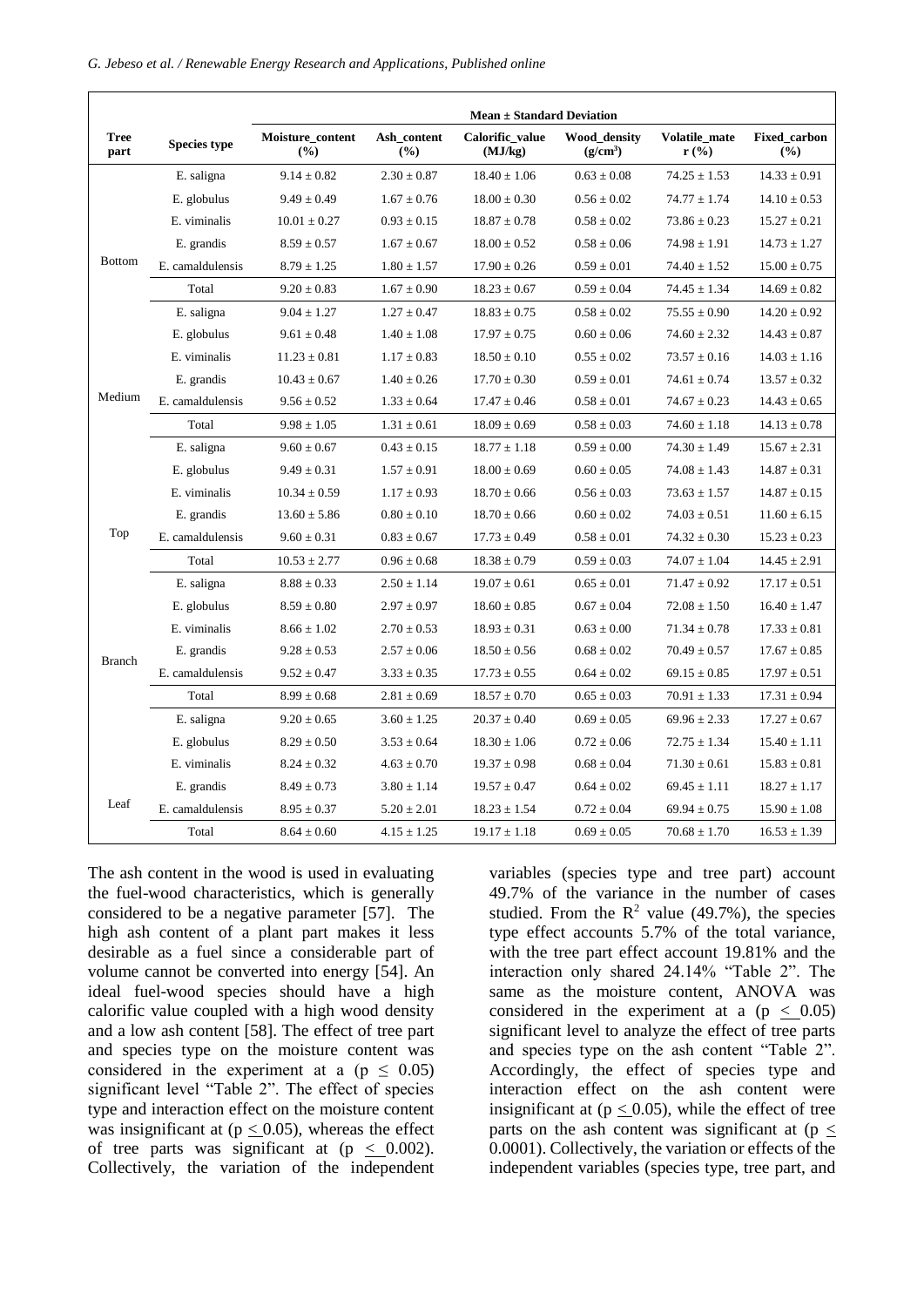|                     |                     | Mean $\pm$ Standard Deviation |                    |                            |                            |                          |                     |  |  |
|---------------------|---------------------|-------------------------------|--------------------|----------------------------|----------------------------|--------------------------|---------------------|--|--|
| <b>Tree</b><br>part | <b>Species type</b> | Moisture_content<br>(%)       | Ash_content<br>(%) | Calorific_value<br>(MJ/kg) | Wood_density<br>$(g/cm^3)$ | Volatile_mate<br>$r$ (%) | Fixed_carbon<br>(%) |  |  |
|                     | E. saligna          | $9.14 \pm 0.82$               | $2.30 \pm 0.87$    | $18.40 \pm 1.06$           | $0.63 \pm 0.08$            | $74.25 \pm 1.53$         | $14.33 \pm 0.91$    |  |  |
| <b>Bottom</b>       | E. globulus         | $9.49 \pm 0.49$               | $1.67 \pm 0.76$    | $18.00\pm0.30$             | $0.56 \pm 0.02$            | $74.77 \pm 1.74$         | $14.10 \pm 0.53$    |  |  |
|                     | E. viminalis        | $10.01 \pm 0.27$              | $0.93 \pm 0.15$    | $18.87 \pm 0.78$           | $0.58 \pm 0.02$            | $73.86 \pm 0.23$         | $15.27 \pm 0.21$    |  |  |
|                     | E. grandis          | $8.59 \pm 0.57$               | $1.67 \pm 0.67$    | $18.00 \pm 0.52$           | $0.58 \pm 0.06$            | $74.98 \pm 1.91$         | $14.73 \pm 1.27$    |  |  |
|                     | E. camaldulensis    | $8.79 \pm 1.25$               | $1.80 \pm 1.57$    | $17.90 \pm 0.26$           | $0.59\pm0.01$              | $74.40 \pm 1.52$         | $15.00 \pm 0.75$    |  |  |
|                     | Total               | $9.20 \pm 0.83$               | $1.67 \pm 0.90$    | $18.23 \pm 0.67$           | $0.59 \pm 0.04$            | $74.45 \pm 1.34$         | $14.69 \pm 0.82$    |  |  |
|                     | E. saligna          | $9.04 \pm 1.27$               | $1.27 \pm 0.47$    | $18.83 \pm 0.75$           | $0.58 \pm 0.02$            | $75.55 \pm 0.90$         | $14.20 \pm 0.92$    |  |  |
|                     | E. globulus         | $9.61 \pm 0.48$               | $1.40 \pm 1.08$    | $17.97 \pm 0.75$           | $0.60 \pm 0.06$            | $74.60 \pm 2.32$         | $14.43 \pm 0.87$    |  |  |
|                     | E. viminalis        | $11.23 \pm 0.81$              | $1.17 \pm 0.83$    | $18.50 \pm 0.10$           | $0.55 \pm 0.02$            | $73.57 \pm 0.16$         | $14.03 \pm 1.16$    |  |  |
|                     | E. grandis          | $10.43 \pm 0.67$              | $1.40 \pm 0.26$    | $17.70 \pm 0.30$           | $0.59 \pm 0.01$            | $74.61 \pm 0.74$         | $13.57 \pm 0.32$    |  |  |
| Medium              | E. camaldulensis    | $9.56 \pm 0.52$               | $1.33 \pm 0.64$    | $17.47 \pm 0.46$           | $0.58 \pm 0.01$            | $74.67 \pm 0.23$         | $14.43 \pm 0.65$    |  |  |
|                     | Total               | $9.98 \pm 1.05$               | $1.31 \pm 0.61$    | $18.09 \pm 0.69$           | $0.58 \pm 0.03$            | $74.60 \pm 1.18$         | $14.13 \pm 0.78$    |  |  |
|                     | E. saligna          | $9.60 \pm 0.67$               | $0.43 \pm 0.15$    | $18.77 \pm 1.18$           | $0.59 \pm 0.00$            | $74.30 \pm 1.49$         | $15.67 \pm 2.31$    |  |  |
|                     | E. globulus         | $9.49 \pm 0.31$               | $1.57 \pm 0.91$    | $18.00 \pm 0.69$           | $0.60 \pm 0.05$            | $74.08 \pm 1.43$         | $14.87 \pm 0.31$    |  |  |
|                     | E. viminalis        | $10.34 \pm 0.59$              | $1.17 \pm 0.93$    | $18.70 \pm 0.66$           | $0.56 \pm 0.03$            | $73.63 \pm 1.57$         | $14.87 \pm 0.15$    |  |  |
|                     | E. grandis          | $13.60 \pm 5.86$              | $0.80 \pm 0.10$    | $18.70 \pm 0.66$           | $0.60 \pm 0.02$            | $74.03 \pm 0.51$         | $11.60 \pm 6.15$    |  |  |
| Top                 | E. camaldulensis    | $9.60 \pm 0.31$               | $0.83 \pm 0.67$    | $17.73 \pm 0.49$           | $0.58\pm0.01$              | $74.32 \pm 0.30$         | $15.23 \pm 0.23$    |  |  |
|                     | Total               | $10.53 \pm 2.77$              | $0.96 \pm 0.68$    | $18.38 \pm 0.79$           | $0.59 \pm 0.03$            | $74.07 \pm 1.04$         | $14.45 \pm 2.91$    |  |  |
|                     | E. saligna          | $8.88 \pm 0.33$               | $2.50 \pm 1.14$    | $19.07 \pm 0.61$           | $0.65 \pm 0.01$            | $71.47 \pm 0.92$         | $17.17 \pm 0.51$    |  |  |
|                     | E. globulus         | $8.59 \pm 0.80$               | $2.97 \pm 0.97$    | $18.60 \pm 0.85$           | $0.67 \pm 0.04$            | $72.08 \pm 1.50$         | $16.40 \pm 1.47$    |  |  |
|                     | E. viminalis        | $8.66 \pm 1.02$               | $2.70 \pm 0.53$    | $18.93 \pm 0.31$           | $0.63 \pm 0.00$            | $71.34 \pm 0.78$         | $17.33 \pm 0.81$    |  |  |
| <b>Branch</b>       | E. grandis          | $9.28 \pm 0.53$               | $2.57 \pm 0.06$    | $18.50 \pm 0.56$           | $0.68 \pm 0.02$            | $70.49 \pm 0.57$         | $17.67 \pm 0.85$    |  |  |
|                     | E. camaldulensis    | $9.52 \pm 0.47$               | $3.33 \pm 0.35$    | $17.73 \pm 0.55$           | $0.64 \pm 0.02$            | $69.15 \pm 0.85$         | $17.97 \pm 0.51$    |  |  |
|                     | Total               | $8.99 \pm 0.68$               | $2.81 \pm 0.69$    | $18.57 \pm 0.70$           | $0.65 \pm 0.03$            | $70.91 \pm 1.33$         | $17.31 \pm 0.94$    |  |  |
|                     | E. saligna          | $9.20 \pm 0.65$               | $3.60 \pm 1.25$    | $20.37 \pm 0.40$           | $0.69 \pm 0.05$            | $69.96 \pm 2.33$         | $17.27 \pm 0.67$    |  |  |
|                     | E. globulus         | $8.29 \pm 0.50$               | $3.53 \pm 0.64$    | $18.30 \pm 1.06$           | $0.72 \pm 0.06$            | $72.75 \pm 1.34$         | $15.40 \pm 1.11$    |  |  |
|                     | E. viminalis        | $8.24 \pm 0.32$               | $4.63 \pm 0.70$    | $19.37 \pm 0.98$           | $0.68 \pm 0.04$            | $71.30 \pm 0.61$         | $15.83 \pm 0.81$    |  |  |
|                     | E. grandis          | $8.49 \pm 0.73$               | $3.80 \pm 1.14$    | $19.57 \pm 0.47$           | $0.64 \pm 0.02$            | $69.45 \pm 1.11$         | $18.27 \pm 1.17$    |  |  |
| Leaf                | E. camaldulensis    | $8.95 \pm 0.37$               | $5.20 \pm 2.01$    | $18.23 \pm 1.54$           | $0.72 \pm 0.04$            | $69.94 \pm 0.75$         | $15.90 \pm 1.08$    |  |  |
|                     | Total               | $8.64 \pm 0.60$               | $4.15 \pm 1.25$    | $19.17 \pm 1.18$           | $0.69 \pm 0.05$            | $70.68 \pm 1.70$         | $16.53 \pm 1.39$    |  |  |

The ash content in the wood is used in evaluating the fuel-wood characteristics, which is generally considered to be a negative parameter [57]. The high ash content of a plant part makes it less desirable as a fuel since a considerable part of volume cannot be converted into energy [54]. An ideal fuel-wood species should have a high calorific value coupled with a high wood density and a low ash content [58]. The effect of tree part and species type on the moisture content was considered in the experiment at a ( $p \leq 0.05$ ) significant level "Table 2". The effect of species type and interaction effect on the moisture content was insignificant at ( $p \le 0.05$ ), whereas the effect of tree parts was significant at  $(p < 0.002)$ . Collectively, the variation of the independent

variables (species type and tree part) account 49.7% of the variance in the number of cases studied. From the  $R^2$  value (49.7%), the species type effect accounts 5.7% of the total variance, with the tree part effect account 19.81% and the interaction only shared 24.14% "Table 2". The same as the moisture content, ANOVA was considered in the experiment at a  $(p < 0.05)$ significant level to analyze the effect of tree parts and species type on the ash content "Table 2". Accordingly, the effect of species type and interaction effect on the ash content were insignificant at ( $p \le 0.05$ ), while the effect of tree parts on the ash content was significant at ( $p \leq$ 0.0001). Collectively, the variation or effects of the independent variables (species type, tree part, and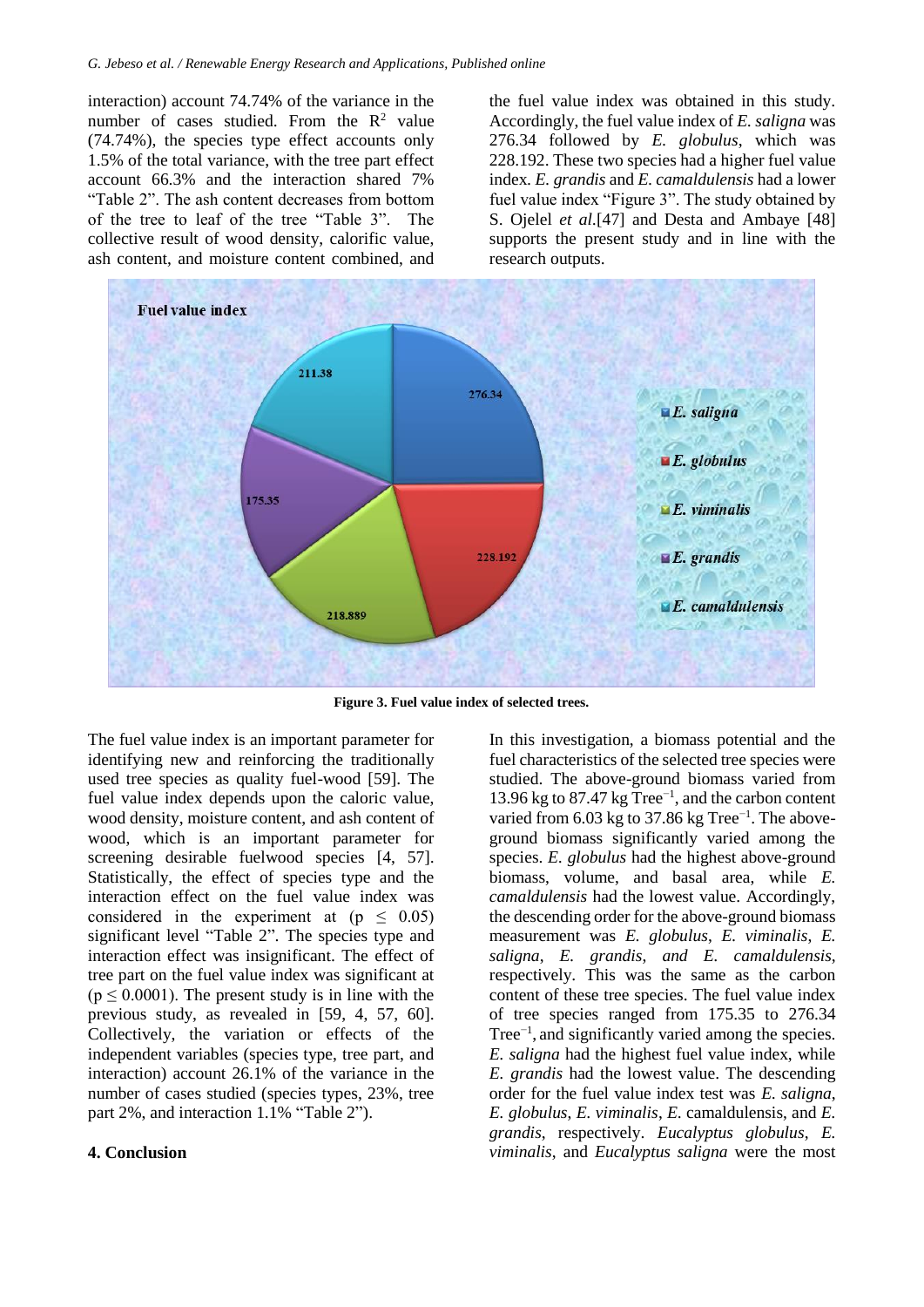interaction) account 74.74% of the variance in the number of cases studied. From the  $R^2$  value (74.74%), the species type effect accounts only 1.5% of the total variance, with the tree part effect account 66.3% and the interaction shared 7% "Table 2". The ash content decreases from bottom of the tree to leaf of the tree "Table 3". The collective result of wood density, calorific value, ash content, and moisture content combined, and the fuel value index was obtained in this study. Accordingly, the fuel value index of *E. saligna* was 276.34 followed by *E. globulus*, which was 228.192. These two species had a higher fuel value index*. E. grandis* and *E. camaldulensis* had a lower fuel value index "Figure 3". The study obtained by S. Ojelel *et al.*[47] and Desta and Ambaye [48] supports the present study and in line with the research outputs.



**Figure 3. Fuel value index of selected trees.**

The fuel value index is an important parameter for identifying new and reinforcing the traditionally used tree species as quality fuel-wood [59]. The fuel value index depends upon the caloric value, wood density, moisture content, and ash content of wood, which is an important parameter for screening desirable fuelwood species [4, 57]. Statistically, the effect of species type and the interaction effect on the fuel value index was considered in the experiment at  $(p \leq 0.05)$ significant level "Table 2". The species type and interaction effect was insignificant. The effect of tree part on the fuel value index was significant at  $(p \le 0.0001)$ . The present study is in line with the previous study, as revealed in [59, 4, 57, 60]. Collectively, the variation or effects of the independent variables (species type, tree part, and interaction) account 26.1% of the variance in the number of cases studied (species types, 23%, tree part 2%, and interaction 1.1% "Table 2").

## **4. Conclusion**

In this investigation, a biomass potential and the fuel characteristics of the selected tree species were studied. The above-ground biomass varied from 13.96 kg to 87.47 kg Tree−1 , and the carbon content varied from 6.03 kg to 37.86 kg Tree<sup>-1</sup>. The aboveground biomass significantly varied among the species. *E. globulus* had the highest above-ground biomass, volume, and basal area, while *E. camaldulensis* had the lowest value. Accordingly, the descending order for the above-ground biomass measurement was *E. globulus*, *E. viminalis*, *E. saligna*, *E. grandis*, *and E. camaldulensis*, respectively. This was the same as the carbon content of these tree species. The fuel value index of tree species ranged from 175.35 to 276.34 Tree−1 , and significantly varied among the species. *E. saligna* had the highest fuel value index, while *E. grandis* had the lowest value. The descending order for the fuel value index test was *E. saligna*, *E. globulus*, *E. viminalis*, *E*. camaldulensis, and *E. grandis*, respectively. *Eucalyptus globulus*, *E. viminalis*, and *Eucalyptus saligna* were the most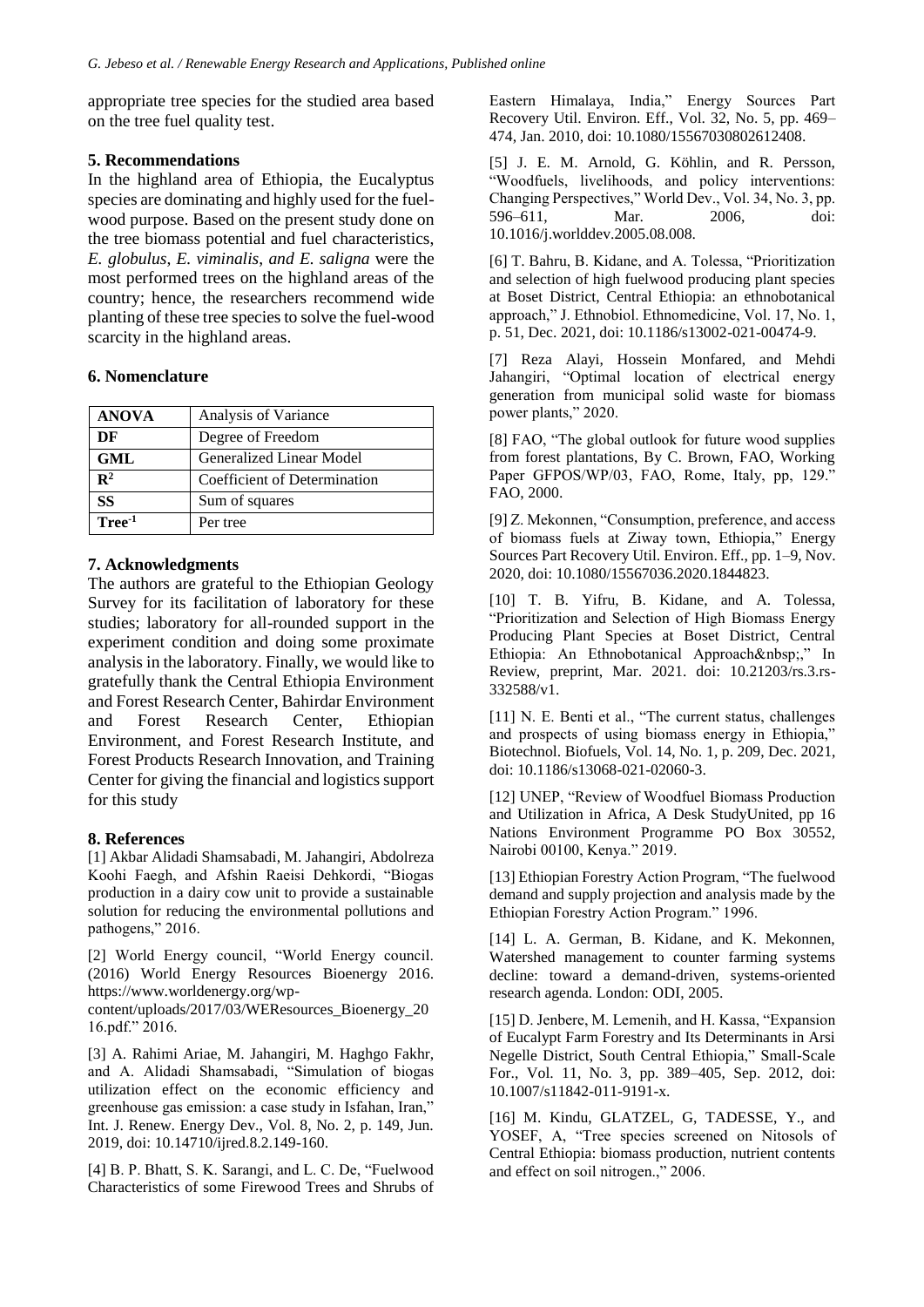appropriate tree species for the studied area based on the tree fuel quality test.

## **5. Recommendations**

In the highland area of Ethiopia, the Eucalyptus species are dominating and highly used for the fuelwood purpose. Based on the present study done on the tree biomass potential and fuel characteristics, *E. globulus*, *E. viminalis*, *and E. saligna* were the most performed trees on the highland areas of the country; hence, the researchers recommend wide planting of these tree species to solve the fuel-wood scarcity in the highland areas.

# **6. Nomenclature**

| <b>ANOVA</b>       | Analysis of Variance         |
|--------------------|------------------------------|
| DF                 | Degree of Freedom            |
| GML                | Generalized Linear Model     |
| $\mathbf{R}^2$     | Coefficient of Determination |
| SS                 | Sum of squares               |
| Tree <sup>-1</sup> | Per tree                     |

# **7. Acknowledgments**

The authors are grateful to the Ethiopian Geology Survey for its facilitation of laboratory for these studies; laboratory for all-rounded support in the experiment condition and doing some proximate analysis in the laboratory. Finally, we would like to gratefully thank the Central Ethiopia Environment and Forest Research Center, Bahirdar Environment and Forest Research Center, Ethiopian Environment, and Forest Research Institute, and Forest Products Research Innovation, and Training Center for giving the financial and logistics support for this study

# **8. References**

[1] Akbar Alidadi Shamsabadi, M. Jahangiri, Abdolreza Koohi Faegh, and Afshin Raeisi Dehkordi, "Biogas production in a dairy cow unit to provide a sustainable solution for reducing the environmental pollutions and pathogens," 2016.

[2] World Energy council, "World Energy council. (2016) World Energy Resources Bioenergy 2016. https://www.worldenergy.org/wp-

content/uploads/2017/03/WEResources\_Bioenergy\_20 16.pdf." 2016.

[3] A. Rahimi Ariae, M. Jahangiri, M. Haghgo Fakhr, and A. Alidadi Shamsabadi, "Simulation of biogas utilization effect on the economic efficiency and greenhouse gas emission: a case study in Isfahan, Iran," Int. J. Renew. Energy Dev., Vol. 8, No. 2, p. 149, Jun. 2019, doi: 10.14710/ijred.8.2.149-160.

[4] B. P. Bhatt, S. K. Sarangi, and L. C. De, "Fuelwood Characteristics of some Firewood Trees and Shrubs of Eastern Himalaya, India," Energy Sources Part Recovery Util. Environ. Eff., Vol. 32, No. 5, pp. 469– 474, Jan. 2010, doi: 10.1080/15567030802612408.

[5] J. E. M. Arnold, G. Köhlin, and R. Persson, "Woodfuels, livelihoods, and policy interventions: Changing Perspectives," World Dev., Vol. 34, No. 3, pp. 596–611, Mar. 2006, doi: 10.1016/j.worlddev.2005.08.008.

[6] T. Bahru, B. Kidane, and A. Tolessa, "Prioritization and selection of high fuelwood producing plant species at Boset District, Central Ethiopia: an ethnobotanical approach," J. Ethnobiol. Ethnomedicine, Vol. 17, No. 1, p. 51, Dec. 2021, doi: 10.1186/s13002-021-00474-9.

[7] Reza Alayi, Hossein Monfared, and Mehdi Jahangiri, "Optimal location of electrical energy generation from municipal solid waste for biomass power plants," 2020.

[8] FAO, "The global outlook for future wood supplies from forest plantations, By C. Brown, FAO, Working Paper GFPOS/WP/03, FAO, Rome, Italy, pp, 129." FAO, 2000.

[9] Z. Mekonnen, "Consumption, preference, and access of biomass fuels at Ziway town, Ethiopia," Energy Sources Part Recovery Util. Environ. Eff., pp. 1–9, Nov. 2020, doi: 10.1080/15567036.2020.1844823.

[10] T. B. Yifru, B. Kidane, and A. Tolessa, "Prioritization and Selection of High Biomass Energy Producing Plant Species at Boset District, Central Ethiopia: An Ethnobotanical Approach ," In Review, preprint, Mar. 2021. doi: 10.21203/rs.3.rs-332588/v1.

[11] N. E. Benti et al., "The current status, challenges and prospects of using biomass energy in Ethiopia," Biotechnol. Biofuels, Vol. 14, No. 1, p. 209, Dec. 2021, doi: 10.1186/s13068-021-02060-3.

[12] UNEP, "Review of Woodfuel Biomass Production and Utilization in Africa, A Desk StudyUnited, pp 16 Nations Environment Programme PO Box 30552, Nairobi 00100, Kenya." 2019.

[13] Ethiopian Forestry Action Program, "The fuelwood demand and supply projection and analysis made by the Ethiopian Forestry Action Program." 1996.

[14] L. A. German, B. Kidane, and K. Mekonnen, Watershed management to counter farming systems decline: toward a demand-driven, systems-oriented research agenda. London: ODI, 2005.

[15] D. Jenbere, M. Lemenih, and H. Kassa, "Expansion of Eucalypt Farm Forestry and Its Determinants in Arsi Negelle District, South Central Ethiopia," Small-Scale For., Vol. 11, No. 3, pp. 389–405, Sep. 2012, doi: 10.1007/s11842-011-9191-x.

[16] M. Kindu, GLATZEL, G, TADESSE, Y., and YOSEF, A, "Tree species screened on Nitosols of Central Ethiopia: biomass production, nutrient contents and effect on soil nitrogen.," 2006.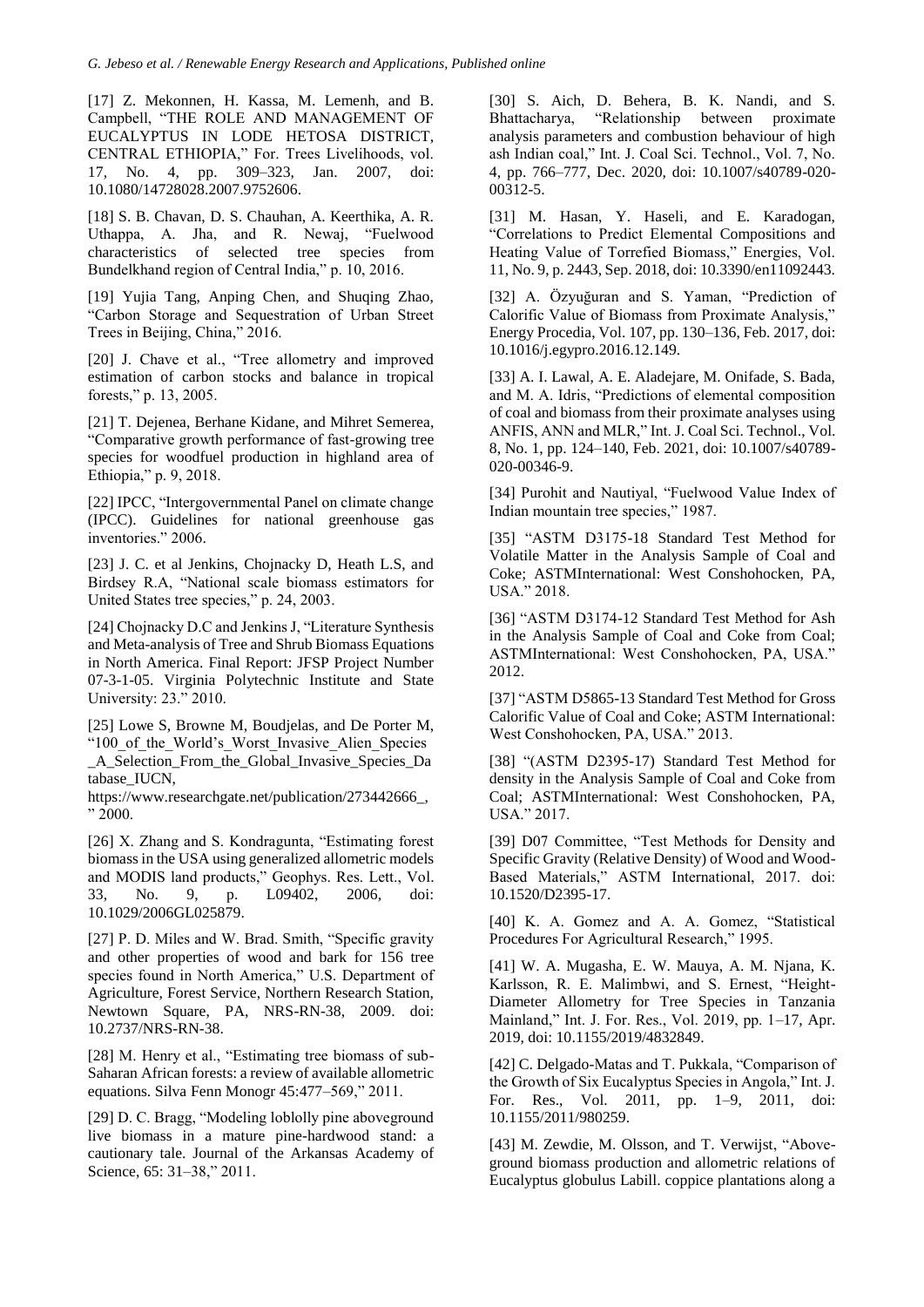[17] Z. Mekonnen, H. Kassa, M. Lemenh, and B. Campbell, "THE ROLE AND MANAGEMENT OF EUCALYPTUS IN LODE HETOSA DISTRICT, CENTRAL ETHIOPIA," For. Trees Livelihoods, vol. 17, No. 4, pp. 309–323, Jan. 2007, doi: 10.1080/14728028.2007.9752606.

[18] S. B. Chavan, D. S. Chauhan, A. Keerthika, A. R. Uthappa, A. Jha, and R. Newaj, "Fuelwood characteristics of selected tree species from Bundelkhand region of Central India," p. 10, 2016.

[19] Yujia Tang, Anping Chen, and Shuqing Zhao, "Carbon Storage and Sequestration of Urban Street Trees in Beijing, China," 2016.

[20] J. Chave et al., "Tree allometry and improved estimation of carbon stocks and balance in tropical forests," p. 13, 2005.

[21] T. Dejenea, Berhane Kidane, and Mihret Semerea, "Comparative growth performance of fast-growing tree species for woodfuel production in highland area of Ethiopia," p. 9, 2018.

[22] IPCC, "Intergovernmental Panel on climate change (IPCC). Guidelines for national greenhouse gas inventories." 2006.

[23] J. C. et al Jenkins, Chojnacky D, Heath L.S, and Birdsey R.A, "National scale biomass estimators for United States tree species," p. 24, 2003.

[24] Chojnacky D.C and Jenkins J, "Literature Synthesis and Meta-analysis of Tree and Shrub Biomass Equations in North America. Final Report: JFSP Project Number 07-3-1-05. Virginia Polytechnic Institute and State University: 23." 2010.

[25] Lowe S, Browne M, Boudjelas, and De Porter M, "100 of the World's Worst Invasive Alien Species \_A\_Selection\_From\_the\_Global\_Invasive\_Species\_Da tabase\_IUCN,

https://www.researchgate.net/publication/273442666, " 2000.

[26] X. Zhang and S. Kondragunta, "Estimating forest biomass in the USA using generalized allometric models and MODIS land products," Geophys. Res. Lett., Vol. 33, No. 9, p. L09402, 2006, doi: 10.1029/2006GL025879.

[27] P. D. Miles and W. Brad. Smith, "Specific gravity and other properties of wood and bark for 156 tree species found in North America," U.S. Department of Agriculture, Forest Service, Northern Research Station, Newtown Square, PA, NRS-RN-38, 2009. doi: 10.2737/NRS-RN-38.

[28] M. Henry et al., "Estimating tree biomass of sub-Saharan African forests: a review of available allometric equations. Silva Fenn Monogr 45:477–569," 2011.

[29] D. C. Bragg, "Modeling loblolly pine aboveground live biomass in a mature pine-hardwood stand: a cautionary tale. Journal of the Arkansas Academy of Science, 65: 31–38," 2011.

[30] S. Aich, D. Behera, B. K. Nandi, and S. Bhattacharya, "Relationship between proximate analysis parameters and combustion behaviour of high ash Indian coal," Int. J. Coal Sci. Technol., Vol. 7, No. 4, pp. 766–777, Dec. 2020, doi: 10.1007/s40789-020- 00312-5.

[31] M. Hasan, Y. Haseli, and E. Karadogan, "Correlations to Predict Elemental Compositions and Heating Value of Torrefied Biomass," Energies, Vol. 11, No. 9, p. 2443, Sep. 2018, doi: 10.3390/en11092443.

[32] A. Özyuğuran and S. Yaman, "Prediction of Calorific Value of Biomass from Proximate Analysis," Energy Procedia, Vol. 107, pp. 130–136, Feb. 2017, doi: 10.1016/j.egypro.2016.12.149.

[33] A. I. Lawal, A. E. Aladejare, M. Onifade, S. Bada, and M. A. Idris, "Predictions of elemental composition of coal and biomass from their proximate analyses using ANFIS, ANN and MLR," Int. J. Coal Sci. Technol., Vol. 8, No. 1, pp. 124–140, Feb. 2021, doi: 10.1007/s40789- 020-00346-9.

[34] Purohit and Nautiyal, "Fuelwood Value Index of Indian mountain tree species," 1987.

[35] "ASTM D3175-18 Standard Test Method for Volatile Matter in the Analysis Sample of Coal and Coke; ASTMInternational: West Conshohocken, PA, USA." 2018.

[36] "ASTM D3174-12 Standard Test Method for Ash in the Analysis Sample of Coal and Coke from Coal; ASTMInternational: West Conshohocken, PA, USA." 2012.

[37] "ASTM D5865-13 Standard Test Method for Gross Calorific Value of Coal and Coke; ASTM International: West Conshohocken, PA, USA." 2013.

[38] "(ASTM D2395-17) Standard Test Method for density in the Analysis Sample of Coal and Coke from Coal; ASTMInternational: West Conshohocken, PA, USA." 2017.

[39] D07 Committee, "Test Methods for Density and Specific Gravity (Relative Density) of Wood and Wood-Based Materials," ASTM International, 2017. doi: 10.1520/D2395-17.

[40] K. A. Gomez and A. A. Gomez, "Statistical Procedures For Agricultural Research," 1995.

[41] W. A. Mugasha, E. W. Mauya, A. M. Njana, K. Karlsson, R. E. Malimbwi, and S. Ernest, "Height-Diameter Allometry for Tree Species in Tanzania Mainland," Int. J. For. Res., Vol. 2019, pp. 1–17, Apr. 2019, doi: 10.1155/2019/4832849.

[42] C. Delgado-Matas and T. Pukkala, "Comparison of the Growth of Six Eucalyptus Species in Angola," Int. J. For. Res., Vol. 2011, pp. 1–9, 2011, doi: 10.1155/2011/980259.

[43] M. Zewdie, M. Olsson, and T. Verwijst, "Aboveground biomass production and allometric relations of Eucalyptus globulus Labill. coppice plantations along a